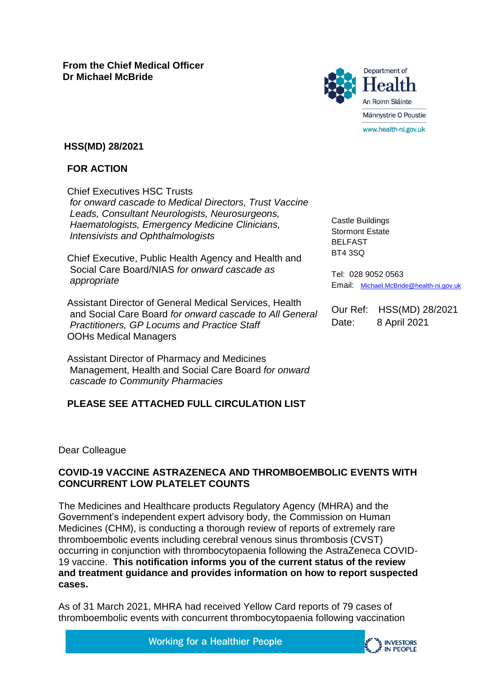

# **HSS(MD) 28/2021**

# **FOR ACTION**

Chief Executives HSC Trusts *for onward cascade to Medical Directors, Trust Vaccine Leads, Consultant Neurologists, Neurosurgeons, Haematologists, Emergency Medicine Clinicians, Intensivists and Ophthalmologists*

Chief Executive, Public Health Agency and Health and Social Care Board/NIAS *for onward cascade as appropriate*

Assistant Director of General Medical Services, Health and Social Care Board *for onward cascade to All General Practitioners, GP Locums and Practice Staff* OOHs Medical Managers

Assistant Director of Pharmacy and Medicines Management, Health and Social Care Board *for onward cascade to Community Pharmacies*

# **PLEASE SEE ATTACHED FULL CIRCULATION LIST**

Castle Buildings Stormont Estate BELFAST BT4 3SQ

Tel: 028 9052 0563 Email: [Michael.McBride@health-ni.gov.uk](mailto:Michael.McBride@health-ni.gov.uk)

Our Ref: HSS(MD) 28/2021 Date: 8 April 2021

#### Dear Colleague

# **COVID-19 VACCINE ASTRAZENECA AND THROMBOEMBOLIC EVENTS WITH CONCURRENT LOW PLATELET COUNTS**

The Medicines and Healthcare products Regulatory Agency (MHRA) and the Government's independent expert advisory body, the Commission on Human Medicines (CHM), is conducting a thorough review of reports of extremely rare thromboembolic events including cerebral venous sinus thrombosis (CVST) occurring in conjunction with thrombocytopaenia following the AstraZeneca COVID-19 vaccine. **This notification informs you of the current status of the review and treatment guidance and provides information on how to report suspected cases.**

As of 31 March 2021, MHRA had received Yellow Card reports of 79 cases of thromboembolic events with concurrent thrombocytopaenia following vaccination

**Working for a Healthier People** 

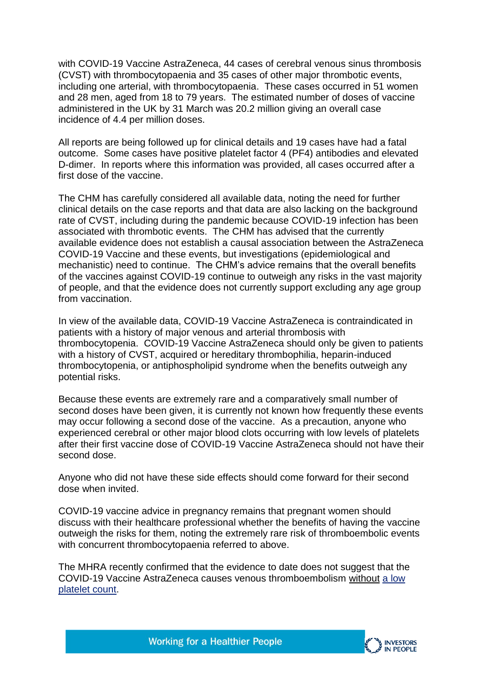with COVID-19 Vaccine AstraZeneca, 44 cases of cerebral venous sinus thrombosis (CVST) with thrombocytopaenia and 35 cases of other major thrombotic events, including one arterial, with thrombocytopaenia. These cases occurred in 51 women and 28 men, aged from 18 to 79 years. The estimated number of doses of vaccine administered in the UK by 31 March was 20.2 million giving an overall case incidence of 4.4 per million doses.

All reports are being followed up for clinical details and 19 cases have had a fatal outcome. Some cases have positive platelet factor 4 (PF4) antibodies and elevated D-dimer. In reports where this information was provided, all cases occurred after a first dose of the vaccine.

The CHM has carefully considered all available data, noting the need for further clinical details on the case reports and that data are also lacking on the background rate of CVST, including during the pandemic because COVID-19 infection has been associated with thrombotic events. The CHM has advised that the currently available evidence does not establish a causal association between the AstraZeneca COVID-19 Vaccine and these events, but investigations (epidemiological and mechanistic) need to continue. The CHM's advice remains that the overall benefits of the vaccines against COVID-19 continue to outweigh any risks in the vast majority of people, and that the evidence does not currently support excluding any age group from vaccination.

In view of the available data, COVID-19 Vaccine AstraZeneca is contraindicated in patients with a history of major venous and arterial thrombosis with thrombocytopenia. COVID-19 Vaccine AstraZeneca should only be given to patients with a history of CVST, acquired or hereditary thrombophilia, heparin-induced thrombocytopenia, or antiphospholipid syndrome when the benefits outweigh any potential risks.

Because these events are extremely rare and a comparatively small number of second doses have been given, it is currently not known how frequently these events may occur following a second dose of the vaccine. As a precaution, anyone who experienced cerebral or other major blood clots occurring with low levels of platelets after their first vaccine dose of COVID-19 Vaccine AstraZeneca should not have their second dose.

Anyone who did not have these side effects should come forward for their second dose when invited.

COVID-19 vaccine advice in pregnancy remains that pregnant women should discuss with their healthcare professional whether the benefits of having the vaccine outweigh the risks for them, noting the extremely rare risk of thromboembolic events with concurrent thrombocytopaenia referred to above.

The MHRA recently confirmed that the evidence to date does not suggest that the COVID-19 Vaccine AstraZeneca causes venous thromboembolism without [a low](https://lnks.gd/l/eyJhbGciOiJIUzI1NiJ9.eyJidWxsZXRpbl9saW5rX2lkIjoxMDAsInVyaSI6ImJwMjpjbGljayIsImJ1bGxldGluX2lkIjoiMjAyMTA0MDcuMzgzNzY4NDEiLCJ1cmwiOiJodHRwczovL3d3dy5nb3YudWsvZ292ZXJubWVudC9uZXdzL3VrLXJlZ3VsYXRvci1jb25maXJtcy10aGF0LXBlb3BsZS1zaG91bGQtY29udGludWUtdG8tcmVjZWl2ZS10aGUtY292aWQtMTktdmFjY2luZS1hc3RyYXplbmVjYSJ9.bFfgiSBi248mN6ZgFVQrXHoaMhXwPF8qkwKjYisFEkw/s/1173842881/br/101604073011-l)  [platelet count.](https://lnks.gd/l/eyJhbGciOiJIUzI1NiJ9.eyJidWxsZXRpbl9saW5rX2lkIjoxMDAsInVyaSI6ImJwMjpjbGljayIsImJ1bGxldGluX2lkIjoiMjAyMTA0MDcuMzgzNzY4NDEiLCJ1cmwiOiJodHRwczovL3d3dy5nb3YudWsvZ292ZXJubWVudC9uZXdzL3VrLXJlZ3VsYXRvci1jb25maXJtcy10aGF0LXBlb3BsZS1zaG91bGQtY29udGludWUtdG8tcmVjZWl2ZS10aGUtY292aWQtMTktdmFjY2luZS1hc3RyYXplbmVjYSJ9.bFfgiSBi248mN6ZgFVQrXHoaMhXwPF8qkwKjYisFEkw/s/1173842881/br/101604073011-l)

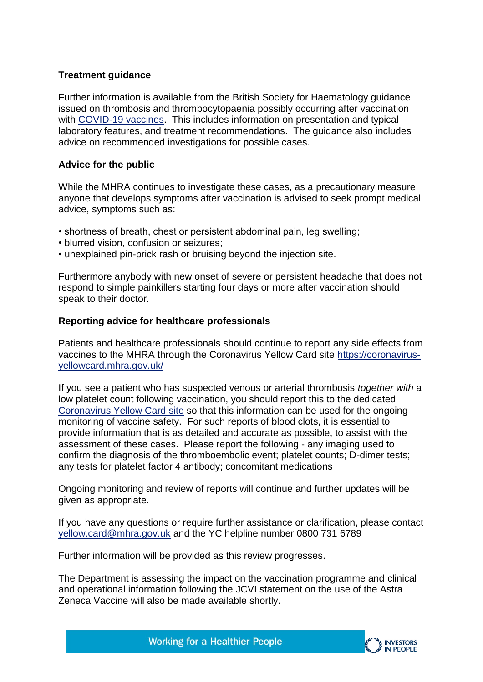### **Treatment guidance**

Further information is available from the British Society for Haematology guidance issued on thrombosis and thrombocytopaenia possibly occurring after vaccination with [COVID-19 vaccines.](https://lnks.gd/l/eyJhbGciOiJIUzI1NiJ9.eyJidWxsZXRpbl9saW5rX2lkIjoxMDEsInVyaSI6ImJwMjpjbGljayIsImJ1bGxldGluX2lkIjoiMjAyMTA0MDcuMzgzNzY4NDEiLCJ1cmwiOiJodHRwczovL2Itcy1oLm9yZy51ay9tZWRpYS8xOTUxMi9ndWlkYW5jZS12ZXJzaW9uLTEwLW9uLW1uZ210LW9mLXRocm9tYm9zaXMtd2l0aC10aHJvbWJvY3l0b3BlbmlhLW9jY3VycmluZy1hZnRlci1jLTE5LXZhY2NpbmVfMjAyMTA0MDEucGRmIn0.Gj4n4p2ZoPerDPNCRDQQ0mHAGkxFcbNDkbAs2zwyjTE/s/1173842881/br/101604073011-l) This includes information on presentation and typical laboratory features, and treatment recommendations. The guidance also includes advice on recommended investigations for possible cases.

### **Advice for the public**

While the MHRA continues to investigate these cases, as a precautionary measure anyone that develops symptoms after vaccination is advised to seek prompt medical advice, symptoms such as:

- shortness of breath, chest or persistent abdominal pain, leg swelling;
- blurred vision, confusion or seizures;
- unexplained pin-prick rash or bruising beyond the injection site.

Furthermore anybody with new onset of severe or persistent headache that does not respond to simple painkillers starting four days or more after vaccination should speak to their doctor.

#### **Reporting advice for healthcare professionals**

Patients and healthcare professionals should continue to report any side effects from vaccines to the MHRA through the Coronavirus Yellow Card site [https://coronavirus](https://lnks.gd/l/eyJhbGciOiJIUzI1NiJ9.eyJidWxsZXRpbl9saW5rX2lkIjoxMDIsInVyaSI6ImJwMjpjbGljayIsImJ1bGxldGluX2lkIjoiMjAyMTA0MDcuMzgzNzY4NDEiLCJ1cmwiOiJodHRwczovL2Nvcm9uYXZpcnVzLXllbGxvd2NhcmQubWhyYS5nb3YudWsvIn0.PTi5aQp52mdn0Xz4GvDQTQ9WqFyq3-y-7PJ-marXWUc/s/1173842881/br/101604073011-l)[yellowcard.mhra.gov.uk/](https://lnks.gd/l/eyJhbGciOiJIUzI1NiJ9.eyJidWxsZXRpbl9saW5rX2lkIjoxMDIsInVyaSI6ImJwMjpjbGljayIsImJ1bGxldGluX2lkIjoiMjAyMTA0MDcuMzgzNzY4NDEiLCJ1cmwiOiJodHRwczovL2Nvcm9uYXZpcnVzLXllbGxvd2NhcmQubWhyYS5nb3YudWsvIn0.PTi5aQp52mdn0Xz4GvDQTQ9WqFyq3-y-7PJ-marXWUc/s/1173842881/br/101604073011-l)

If you see a patient who has suspected venous or arterial thrombosis *together with* a low platelet count following vaccination, you should report this to the dedicated [Coronavirus Yellow Card](https://lnks.gd/l/eyJhbGciOiJIUzI1NiJ9.eyJidWxsZXRpbl9saW5rX2lkIjoxMDMsInVyaSI6ImJwMjpjbGljayIsImJ1bGxldGluX2lkIjoiMjAyMTA0MDcuMzgzNzY4NDEiLCJ1cmwiOiJodHRwczovL2Nvcm9uYXZpcnVzLXllbGxvd2NhcmQubWhyYS5nb3YudWsvIn0.AnUJSf5vLQ5yS9JSvzH6Od8cQUr13U_VJ3U-xddabRs/s/1173842881/br/101604073011-l) site so that this information can be used for the ongoing monitoring of vaccine safety. For such reports of blood clots, it is essential to provide information that is as detailed and accurate as possible, to assist with the assessment of these cases. Please report the following - any imaging used to confirm the diagnosis of the thromboembolic event; platelet counts; D-dimer tests; any tests for platelet factor 4 antibody; concomitant medications

Ongoing monitoring and review of reports will continue and further updates will be given as appropriate.

If you have any questions or require further assistance or clarification, please contact [yellow.card@mhra.gov.uk](mailto:yellow.card@mhra.gov.uk) and the YC helpline number 0800 731 6789

Further information will be provided as this review progresses.

The Department is assessing the impact on the vaccination programme and clinical and operational information following the JCVI statement on the use of the Astra Zeneca Vaccine will also be made available shortly.